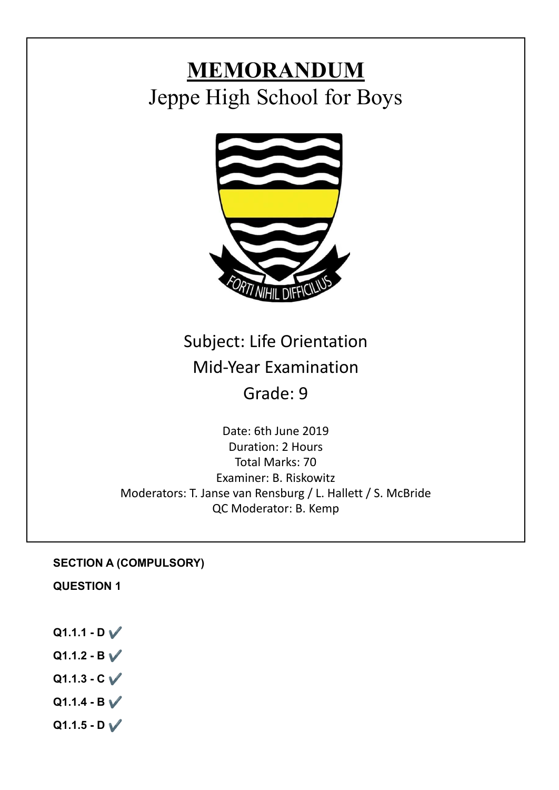# **MEMORANDUM** Jeppe High School for Boys



## Subject: Life Orientation Mid-Year Examination Grade: 9

Date: 6th June 2019 Duration: 2 Hours Total Marks: 70 Examiner: B. Riskowitz Moderators: T. Janse van Rensburg / L. Hallett / S. McBride QC Moderator: B. Kemp

## **SECTION A (COMPULSORY)**

**QUESTION 1**

**Q1.1.1 - D** ✔️ **Q1.1.2 - B** ✔️ **Q1.1.3 - C** ✔️  $Q1.1.4 - B \sqrt{}$ **Q1.1.5 - D** ✔️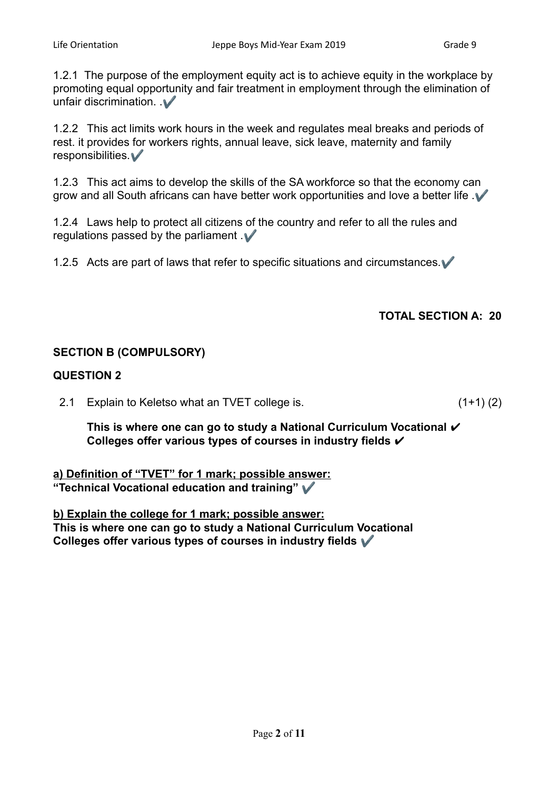1.2.1 The purpose of the employment equity act is to achieve equity in the workplace by promoting equal opportunity and fair treatment in employment through the elimination of unfair discrimination.  $\mathcal V$ 

1.2.2 This act limits work hours in the week and regulates meal breaks and periods of rest. it provides for workers rights, annual leave, sick leave, maternity and family responsibilities.✔️

1.2.3 This act aims to develop the skills of the SA workforce so that the economy can grow and all South africans can have better work opportunities and love a better life .  $\blacktriangledown$ 

1.2.4 Laws help to protect all citizens of the country and refer to all the rules and regulations passed by the parliament  $\mathcal V$ 

1.2.5 Acts are part of laws that refer to specific situations and circumstances.✔️

## **TOTAL SECTION A: 20**

#### **SECTION B (COMPULSORY)**

#### **QUESTION 2**

2.1 Explain to Keletso what an TVET college is. (1+1) (2)

**This is where one can go to study a National Curriculum Vocational** ✔ **Colleges offer various types of courses in industry fields** ✔

**a) Definition of "TVET" for 1 mark; possible answer: "Technical Vocational education and training"** ✔️

**b) Explain the college for 1 mark; possible answer: This is where one can go to study a National Curriculum Vocational Colleges offer various types of courses in industry fields** ✔️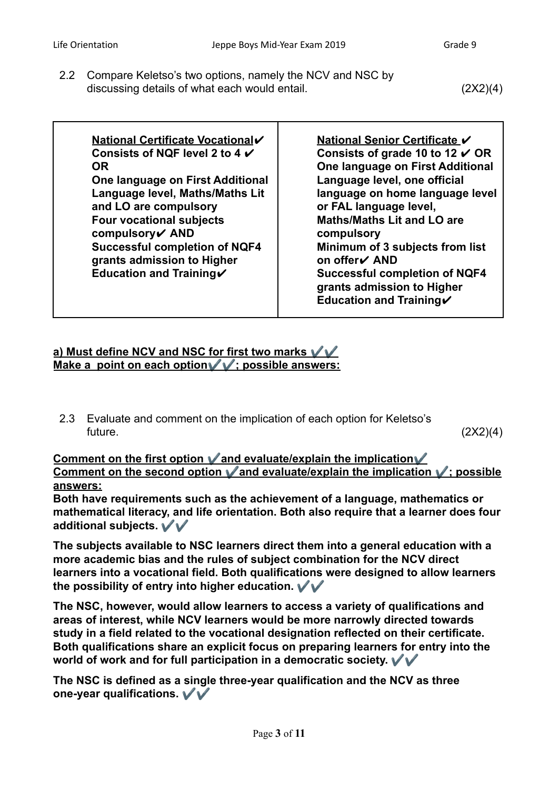2.2 Compare Keletso's two options, namely the NCV and NSC by discussing details of what each would entail. (2X2)(4)

**National Certificate Vocational**✔ **Consists of NQF level 2 to 4** ✔ **OR One language on First Additional Language level, Maths/Maths Lit and LO are compulsory Four vocational subjects compulsory**✔ **AND Successful completion of NQF4 grants admission to Higher Education and Training**✔

**National Senior Certificate ✔ Consists of grade 10 to 12** ✔ **OR One language on First Additional Language level, one official language on home language level or FAL language level, Maths/Maths Lit and LO are compulsory Minimum of 3 subjects from list on offer**✔ **AND Successful completion of NQF4 grants admission to Higher Education and Training**✔

## **a) Must define NCV and NSC for first two marks**  $\sqrt{V}$ **Make a point on each option**✔️✔️**; possible answers:**

2.3 Evaluate and comment on the implication of each option for Keletso's  $f$ uture.  $(2X2)(4)$ 

**Comment on the first option** ✔️**and evaluate/explain the implication**✔️ **Comment on the second option** ✔️**and evaluate/explain the implication** ✔️**; possible answers:**

**Both have requirements such as the achievement of a language, mathematics or mathematical literacy, and life orientation. Both also require that a learner does four additional subjects.** ✔️✔️

**The subjects available to NSC learners direct them into a general education with a more academic bias and the rules of subject combination for the NCV direct learners into a vocational field. Both qualifications were designed to allow learners the possibility of entry into higher education.** ✔️✔️

**The NSC, however, would allow learners to access a variety of qualifications and areas of interest, while NCV learners would be more narrowly directed towards study in a field related to the vocational designation reflected on their certificate. Both qualifications share an explicit focus on preparing learners for entry into the world of work and for full participation in a democratic society.** ✔️✔️

**The NSC is defined as a single three-year qualification and the NCV as three one-year qualifications.** ✔️✔️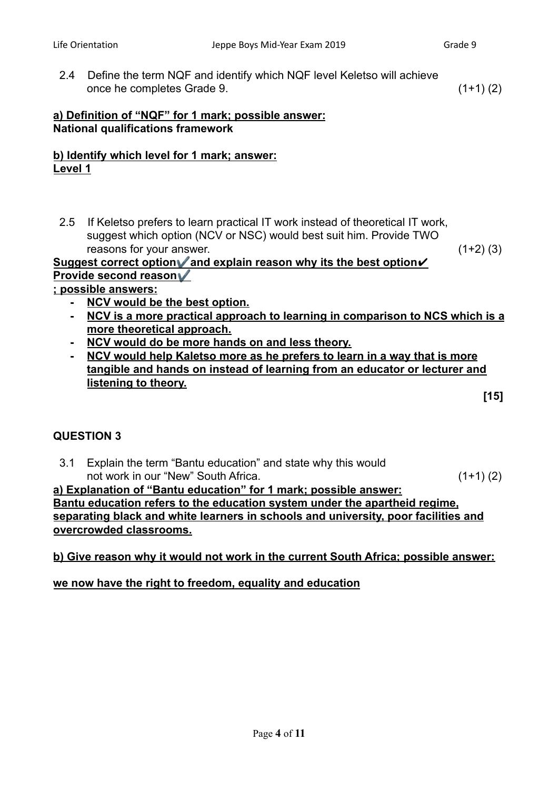2.4 Define the term NQF and identify which NQF level Keletso will achieve once he completes Grade 9. (1+1) (2)

## **a) Definition of "NQF" for 1 mark; possible answer: National qualifications framework**

## **b) Identify which level for 1 mark; answer: Level 1**

2.5 If Keletso prefers to learn practical IT work instead of theoretical IT work, suggest which option (NCV or NSC) would best suit him. Provide TWO reasons for your answer. (1+2) (3)

#### **Suggest correct option**✔️**and explain reason why its the best option**✔ **Provide second reason**✔️

## **; possible answers:**

- **- NCV would be the best option.**
- **- NCV is a more practical approach to learning in comparison to NCS which is a more theoretical approach.**
- **- NCV would do be more hands on and less theory.**
- **- NCV would help Kaletso more as he prefers to learn in a way that is more tangible and hands on instead of learning from an educator or lecturer and listening to theory.**

**[15]**

## **QUESTION 3**

3.1 Explain the term "Bantu education" and state why this would not work in our "New" South Africa. (1+1) (2)

## **a) Explanation of "Bantu education" for 1 mark; possible answer: Bantu education refers to the education system under the apartheid regime, separating black and white learners in schools and university, poor facilities and overcrowded classrooms.**

## **b) Give reason why it would not work in the current South Africa; possible answer:**

## **we now have the right to freedom, equality and education**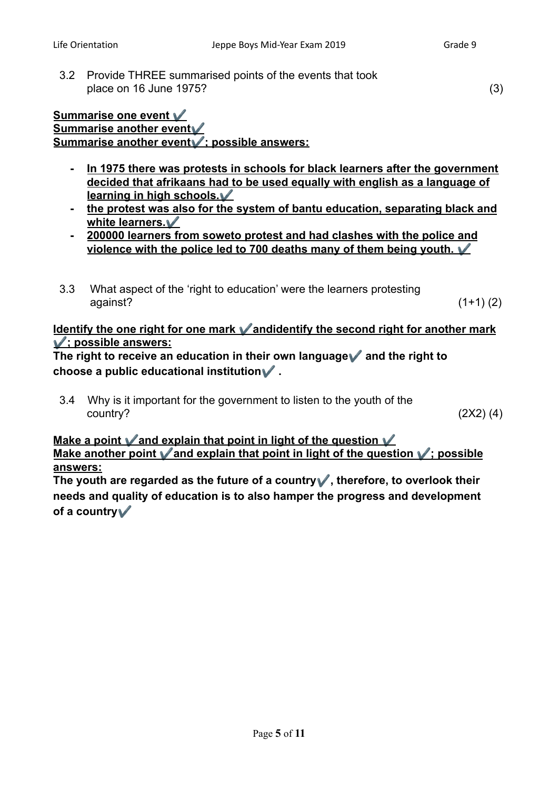3.2 Provide THREE summarised points of the events that took place on 16 June 1975? (3)

#### **Summarise one event** ✔️ **Summarise another event**✔️ **Summarise another event**✔️**; possible answers:**

- **- In 1975 there was protests in schools for black learners after the government decided that afrikaans had to be used equally with english as a language of learning in high schools.**✔️
- **- the protest was also for the system of bantu education, separating black and white learners.**✔️
- **- 200000 learners from soweto protest and had clashes with the police and violence with the police led to 700 deaths many of them being youth.** ✔️
- 3.3 What aspect of the 'right to education' were the learners protesting  $a$ gainst?  $(1+1)(2)$

## **Identify the one right for one mark** ✔️**andidentify the second right for another mark** ✔️**; possible answers:**

**The right to receive an education in their own language**✔️ **and the right to choose a public educational institution**✔️ **.**

3.4 Why is it important for the government to listen to the youth of the  $country?$  (2X2) (4)

## **Make a point** ✔️**and explain that point in light of the question** ✔️ **Make another point** ✔️**and explain that point in light of the question** ✔️**; possible answers:**

**The youth are regarded as the future of a country**✔️**, therefore, to overlook their needs and quality of education is to also hamper the progress and development of a country**✔️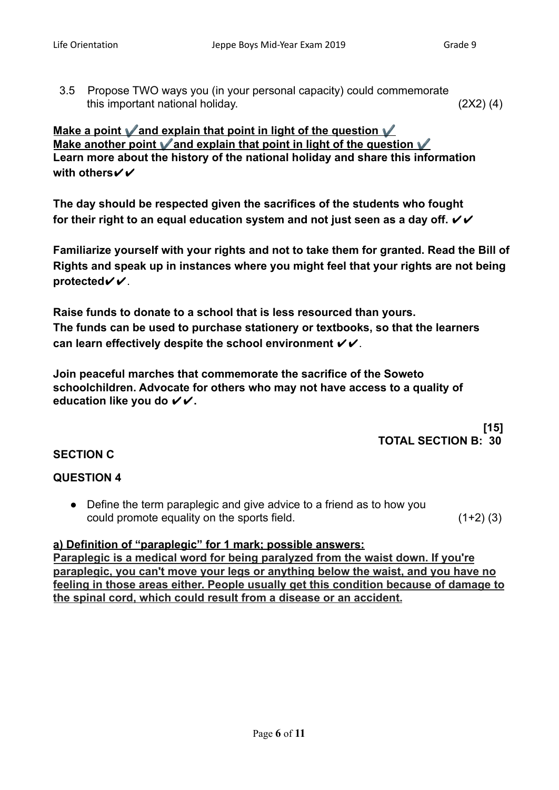3.5 Propose TWO ways you (in your personal capacity) could commemorate this important national holiday. (2X2) (4)

**Make a point** ✔️**and explain that point in light of the question** ✔️ **Make another point** ✔️**and explain that point in light of the question** ✔️ **Learn more about the history of the national holiday and share this information with others**✔✔

**The day should be respected given the sacrifices of the students who fought** for their right to an equal education system and not just seen as a day off.  $VV$ 

**Familiarize yourself with your rights and not to take them for granted. Read the Bill of Rights and speak up in instances where you might feel that your rights are not being protected**✔✔.

**Raise funds to donate to a school that is less resourced than yours. The funds can be used to purchase stationery or textbooks, so that the learners can learn effectively despite the school environment** ✔✔.

**Join peaceful marches that commemorate the sacrifice of the Soweto schoolchildren. Advocate for others who may not have access to a quality of education like you do** ✔✔**.**

> **[15] TOTAL SECTION B: 30**

## **SECTION C**

## **QUESTION 4**

● Define the term paraplegic and give advice to a friend as to how you could promote equality on the sports field. (1+2) (3)

#### **a) Definition of "paraplegic" for 1 mark; possible answers:**

**Paraplegic is a medical word for being paralyzed from the waist down. If you're paraplegic, you can't move your legs or anything below the waist, and you have no feeling in those areas either. People usually get this condition because of damage to the spinal cord, which could result from a disease or an accident.**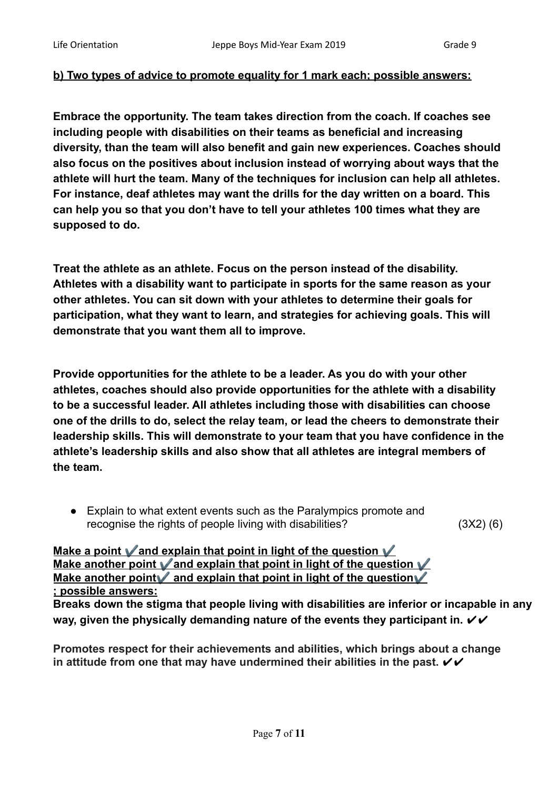## **b) Two types of advice to promote equality for 1 mark each; possible answers:**

**Embrace the opportunity. The team takes direction from the coach. If coaches see including people with disabilities on their teams as beneficial and increasing diversity, than the team will also benefit and gain new experiences. Coaches should also focus on the positives about inclusion instead of worrying about ways that the athlete will hurt the team. Many of the techniques for inclusion can help all athletes. For instance, deaf athletes may want the drills for the day written on a board. This can help you so that you don't have to tell your athletes 100 times what they are supposed to do.**

**Treat the athlete as an athlete. Focus on the person instead of the disability. Athletes with a disability want to participate in sports for the same reason as your other athletes. You can sit down with your athletes to determine their goals for participation, what they want to learn, and strategies for achieving goals. This will demonstrate that you want them all to improve.**

**Provide opportunities for the athlete to be a leader. As you do with your other athletes, coaches should also provide opportunities for the athlete with a disability to be a successful leader. All athletes including those with disabilities can choose one of the drills to do, select the relay team, or lead the cheers to demonstrate their leadership skills. This will demonstrate to your team that you have confidence in the athlete's leadership skills and also show that all athletes are integral members of the team.**

● Explain to what extent events such as the Paralympics promote and recognise the rights of people living with disabilities? (3X2) (6)

**Make a point** ✔️**and explain that point in light of the question** ✔️ **Make another point** ✔️**and explain that point in light of the question** ✔️ **Make another point** and explain that point in light of the question **; possible answers:**

**Breaks down the stigma that people living with disabilities are inferior or incapable in any** way, given the physically demanding nature of the events they participant in.  $\checkmark\checkmark$ 

**Promotes respect for their achievements and abilities, which brings about a change** in attitude from one that may have undermined their abilities in the past.  $\boldsymbol{\checkmark}$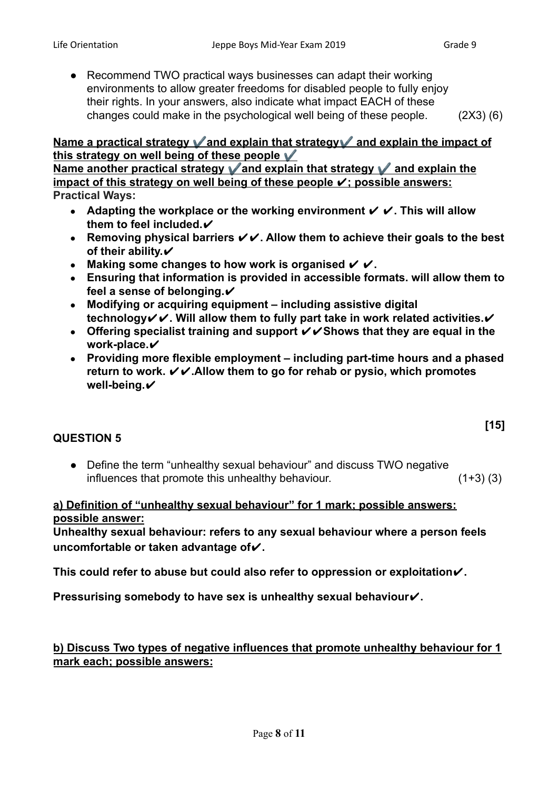**[15]**

● Recommend TWO practical ways businesses can adapt their working environments to allow greater freedoms for disabled people to fully enjoy their rights. In your answers, also indicate what impact EACH of these changes could make in the psychological well being of these people. (2X3) (6)

## **Name a practical strategy** ✔️**and explain that strategy**✔️ **and explain the impact of this strategy on well being of these people** ✔️

**Name another practical strategy** ✔️**and explain that strategy** ✔️ **and explain the impact of this strategy on well being of these people** ✔**; possible answers: Practical Ways:**

- **● Adapting the workplace or the working environment** ✔ ✔**. This will allow them to feel included.**✔
- **● Removing physical barriers** ✔✔**. Allow them to achieve their goals to the best of their ability.**✔
- **● Making some changes to how work is organised** ✔ ✔**.**
- **● Ensuring that information is provided in accessible formats. will allow them to** feel a sense of belonging.**✓**
- **● Modifying or acquiring equipment including assistive digital technology**✔✔**. Will allow them to fully part take in work related activities.**✔
- **● Offering specialist training and support** ✔✔**Shows that they are equal in the work-place.**✔
- **● Providing more flexible employment including part-time hours and a phased return to work.** ✔✔**.Allow them to go for rehab or pysio, which promotes well-being.**✔

## **QUESTION 5**

● Define the term "unhealthy sexual behaviour" and discuss TWO negative influences that promote this unhealthy behaviour.  $(1+3)$  (3)

## **a) Definition of "unhealthy sexual behaviour" for 1 mark; possible answers: possible answer:**

**Unhealthy sexual behaviour: refers to any sexual behaviour where a person feels uncomfortable or taken advantage of**✔**.**

**This could refer to abuse but could also refer to oppression or exploitation**✔**.**

**Pressurising somebody to have sex is unhealthy sexual behaviour√.** 

**b) Discuss Two types of negative influences that promote unhealthy behaviour for 1 mark each; possible answers:**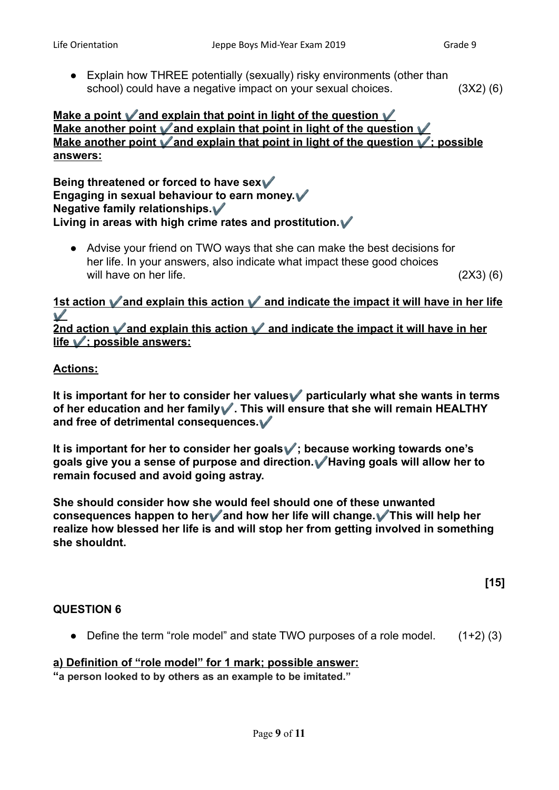• Explain how THREE potentially (sexually) risky environments (other than school) could have a negative impact on your sexual choices. (3X2) (6)

## **Make a point** ✔️**and explain that point in light of the question** ✔️ **Make another point** ✔️**and explain that point in light of the question** ✔️ **Make another point** ✔️**and explain that point in light of the question** ✔️**; possible answers:**

**Being threatened or forced to have sex**✔️ **Engaging in sexual behaviour to earn money.**✔️ **Negative family relationships.**✔️ **Living in areas with high crime rates and prostitution.**✔️

● Advise your friend on TWO ways that she can make the best decisions for her life. In your answers, also indicate what impact these good choices will have on her life. (2X3) (6)

**1st action** ✔️**and explain this action** ✔️ **and indicate the impact it will have in her life** ✔️ **2nd action** ✔️**and explain this action** ✔️ **and indicate the impact it will have in her**

## **Actions:**

**life** ✔️**; possible answers:**

**It is important for her to consider her values**✔️ **particularly what she wants in terms of her education and her family**✔️**. This will ensure that she will remain HEALTHY and free of detrimental consequences.**✔️

**It is important for her to consider her goals**✔️**; because working towards one's goals give you a sense of purpose and direction.**✔️**Having goals will allow her to remain focused and avoid going astray.**

**She should consider how she would feel should one of these unwanted consequences happen to her**✔️**and how her life will change.**✔️**This will help her realize how blessed her life is and will stop her from getting involved in something she shouldnt.**

**[15]**

#### **QUESTION 6**

• Define the term "role model" and state TWO purposes of a role model.  $(1+2)$  (3)

#### **a) Definition of "role model" for 1 mark; possible answer:**

**"a person looked to by others as an example to be imitated."**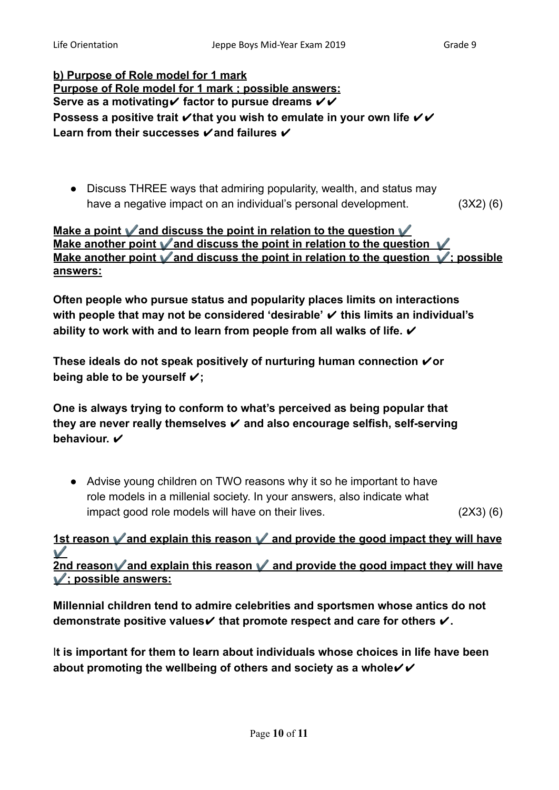**b) Purpose of Role model for 1 mark Purpose of Role model for 1 mark ; possible answers: Serve as a motivating✓** factor to pursue dreams  $∨$  ✓ **Possess a positive trait**  $\checkmark$  **that you wish to emulate in your own life**  $\checkmark$  $\checkmark$ **Learn from their successes** ✔**and failures** ✔

• Discuss THREE ways that admiring popularity, wealth, and status may have a negative impact on an individual's personal development. (3X2) (6)

## **Make a point** ✔️**and discuss the point in relation to the question** ✔️ **Make another point** ✔️**and discuss the point in relation to the question** ✔️ **Make another point** ✔️**and discuss the point in relation to the question** ✔️**; possible answers:**

**Often people who pursue status and popularity places limits on interactions with people that may not be considered 'desirable'** ✔ **this limits an individual's ability to work with and to learn from people from all walks of life.** ✔

**These ideals do not speak positively of nurturing human connection** ✔**or being able to be yourself** ✔**;**

**One is always trying to conform to what's perceived as being popular that they are never really themselves** ✔ **and also encourage selfish, self-serving** behaviour.  $\checkmark$ 

● Advise young children on TWO reasons why it so he important to have role models in a millenial society. In your answers, also indicate what impact good role models will have on their lives. (2X3) (6)

**1st reason** ✔️**and explain this reason** ✔️ **and provide the good impact they will have** ✔️ **2nd reason**✔️**and explain this reason** ✔️ **and provide the good impact they will have** ✔️**; possible answers:**

**Millennial children tend to admire celebrities and sportsmen whose antics do not demonstrate positive values**✔ **that promote respect and care for others** ✔**.**

I**t is important for them to learn about individuals whose choices in life have been about promoting the wellbeing of others and society as a whole**✔✔